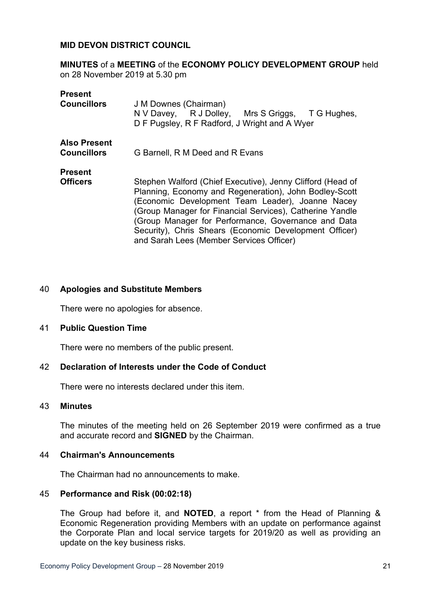## **MID DEVON DISTRICT COUNCIL**

**MINUTES** of a **MEETING** of the **ECONOMY POLICY DEVELOPMENT GROUP** held on 28 November 2019 at 5.30 pm

| <b>Present</b>                            |                                                                                                                                                                                                                                                                                                                                                                                                   |
|-------------------------------------------|---------------------------------------------------------------------------------------------------------------------------------------------------------------------------------------------------------------------------------------------------------------------------------------------------------------------------------------------------------------------------------------------------|
| <b>Councillors</b>                        | J M Downes (Chairman)<br>N V Davey, R J Dolley, Mrs S Griggs, T G Hughes,<br>D F Pugsley, R F Radford, J Wright and A Wyer                                                                                                                                                                                                                                                                        |
| <b>Also Present</b><br><b>Councillors</b> | G Barnell, R M Deed and R Evans                                                                                                                                                                                                                                                                                                                                                                   |
| <b>Present</b>                            |                                                                                                                                                                                                                                                                                                                                                                                                   |
| <b>Officers</b>                           | Stephen Walford (Chief Executive), Jenny Clifford (Head of<br>Planning, Economy and Regeneration), John Bodley-Scott<br>(Economic Development Team Leader), Joanne Nacey<br>(Group Manager for Financial Services), Catherine Yandle<br>(Group Manager for Performance, Governance and Data<br>Security), Chris Shears (Economic Development Officer)<br>and Sarah Lees (Member Services Officer) |

## 40 **Apologies and Substitute Members**

There were no apologies for absence.

## 41 **Public Question Time**

There were no members of the public present.

## 42 **Declaration of Interests under the Code of Conduct**

There were no interests declared under this item.

## 43 **Minutes**

The minutes of the meeting held on 26 September 2019 were confirmed as a true and accurate record and **SIGNED** by the Chairman.

#### 44 **Chairman's Announcements**

The Chairman had no announcements to make.

## 45 **Performance and Risk (00:02:18)**

The Group had before it, and **NOTED**, a report \* from the Head of Planning & Economic Regeneration providing Members with an update on performance against the Corporate Plan and local service targets for 2019/20 as well as providing an update on the key business risks.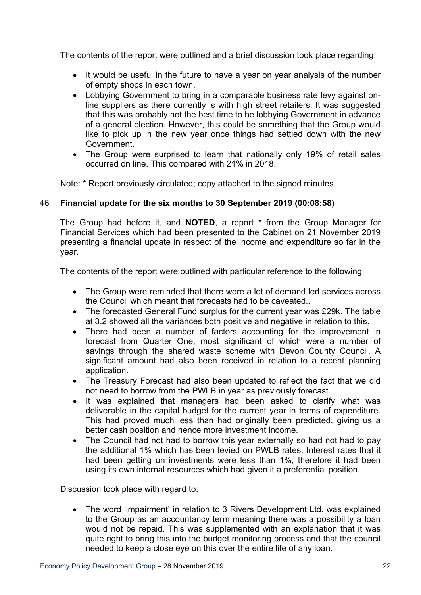The contents of the report were outlined and a brief discussion took place regarding:

- It would be useful in the future to have a vear on vear analysis of the number of empty shops in each town.
- Lobbying Government to bring in a comparable business rate levy against online suppliers as there currently is with high street retailers. It was suggested that this was probably not the best time to be lobbying Government in advance of a general election. However, this could be something that the Group would like to pick up in the new year once things had settled down with the new Government.
- The Group were surprised to learn that nationally only 19% of retail sales occurred on line. This compared with 21% in 2018.

Note: \* Report previously circulated; copy attached to the signed minutes.

# 46 **Financial update for the six months to 30 September 2019 (00:08:58)**

The Group had before it, and **NOTED**, a report \* from the Group Manager for Financial Services which had been presented to the Cabinet on 21 November 2019 presenting a financial update in respect of the income and expenditure so far in the year.

The contents of the report were outlined with particular reference to the following:

- The Group were reminded that there were a lot of demand led services across the Council which meant that forecasts had to be caveated..
- The forecasted General Fund surplus for the current year was £29k. The table at 3.2 showed all the variances both positive and negative in relation to this.
- There had been a number of factors accounting for the improvement in forecast from Quarter One, most significant of which were a number of savings through the shared waste scheme with Devon County Council. A significant amount had also been received in relation to a recent planning application.
- The Treasury Forecast had also been updated to reflect the fact that we did not need to borrow from the PWLB in year as previously forecast.
- It was explained that managers had been asked to clarify what was deliverable in the capital budget for the current year in terms of expenditure. This had proved much less than had originally been predicted, giving us a better cash position and hence more investment income.
- The Council had not had to borrow this year externally so had not had to pay the additional 1% which has been levied on PWLB rates. Interest rates that it had been getting on investments were less than 1%, therefore it had been using its own internal resources which had given it a preferential position.

Discussion took place with regard to:

 The word 'impairment' in relation to 3 Rivers Development Ltd. was explained to the Group as an accountancy term meaning there was a possibility a loan would not be repaid. This was supplemented with an explanation that it was quite right to bring this into the budget monitoring process and that the council needed to keep a close eye on this over the entire life of any loan.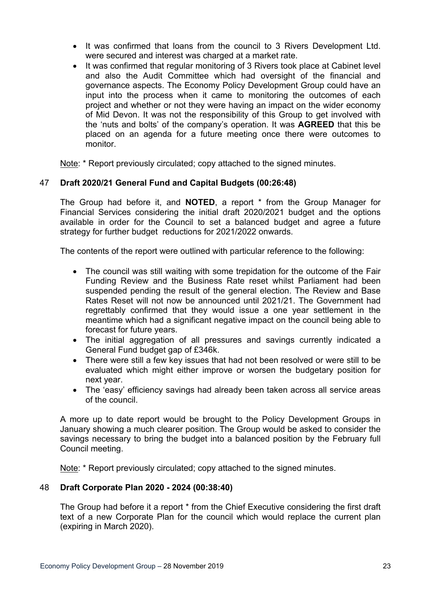- It was confirmed that loans from the council to 3 Rivers Development Ltd. were secured and interest was charged at a market rate.
- It was confirmed that regular monitoring of 3 Rivers took place at Cabinet level and also the Audit Committee which had oversight of the financial and governance aspects. The Economy Policy Development Group could have an input into the process when it came to monitoring the outcomes of each project and whether or not they were having an impact on the wider economy of Mid Devon. It was not the responsibility of this Group to get involved with the 'nuts and bolts' of the company's operation. It was **AGREED** that this be placed on an agenda for a future meeting once there were outcomes to monitor.

Note: \* Report previously circulated; copy attached to the signed minutes.

# 47 **Draft 2020/21 General Fund and Capital Budgets (00:26:48)**

The Group had before it, and **NOTED**, a report \* from the Group Manager for Financial Services considering the initial draft 2020/2021 budget and the options available in order for the Council to set a balanced budget and agree a future strategy for further budget reductions for 2021/2022 onwards.

The contents of the report were outlined with particular reference to the following:

- The council was still waiting with some trepidation for the outcome of the Fair Funding Review and the Business Rate reset whilst Parliament had been suspended pending the result of the general election. The Review and Base Rates Reset will not now be announced until 2021/21. The Government had regrettably confirmed that they would issue a one year settlement in the meantime which had a significant negative impact on the council being able to forecast for future years.
- The initial aggregation of all pressures and savings currently indicated a General Fund budget gap of £346k.
- There were still a few key issues that had not been resolved or were still to be evaluated which might either improve or worsen the budgetary position for next year.
- The 'easy' efficiency savings had already been taken across all service areas of the council.

A more up to date report would be brought to the Policy Development Groups in January showing a much clearer position. The Group would be asked to consider the savings necessary to bring the budget into a balanced position by the February full Council meeting.

Note: \* Report previously circulated; copy attached to the signed minutes.

# 48 **Draft Corporate Plan 2020 - 2024 (00:38:40)**

The Group had before it a report \* from the Chief Executive considering the first draft text of a new Corporate Plan for the council which would replace the current plan (expiring in March 2020).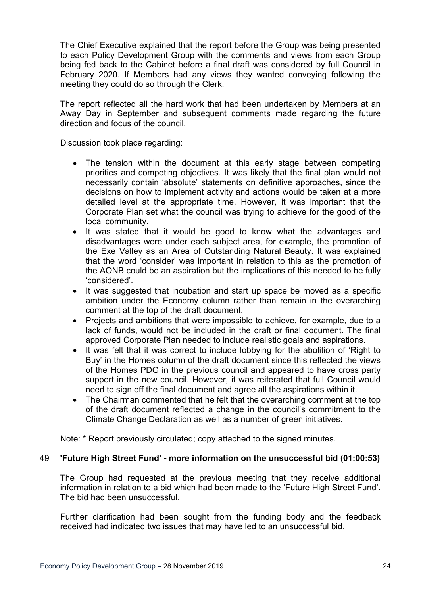The Chief Executive explained that the report before the Group was being presented to each Policy Development Group with the comments and views from each Group being fed back to the Cabinet before a final draft was considered by full Council in February 2020. If Members had any views they wanted conveying following the meeting they could do so through the Clerk.

The report reflected all the hard work that had been undertaken by Members at an Away Day in September and subsequent comments made regarding the future direction and focus of the council.

Discussion took place regarding:

- The tension within the document at this early stage between competing priorities and competing objectives. It was likely that the final plan would not necessarily contain 'absolute' statements on definitive approaches, since the decisions on how to implement activity and actions would be taken at a more detailed level at the appropriate time. However, it was important that the Corporate Plan set what the council was trying to achieve for the good of the local community.
- It was stated that it would be good to know what the advantages and disadvantages were under each subject area, for example, the promotion of the Exe Valley as an Area of Outstanding Natural Beauty. It was explained that the word 'consider' was important in relation to this as the promotion of the AONB could be an aspiration but the implications of this needed to be fully 'considered'.
- It was suggested that incubation and start up space be moved as a specific ambition under the Economy column rather than remain in the overarching comment at the top of the draft document.
- Projects and ambitions that were impossible to achieve, for example, due to a lack of funds, would not be included in the draft or final document. The final approved Corporate Plan needed to include realistic goals and aspirations.
- It was felt that it was correct to include lobbying for the abolition of 'Right to Buy' in the Homes column of the draft document since this reflected the views of the Homes PDG in the previous council and appeared to have cross party support in the new council. However, it was reiterated that full Council would need to sign off the final document and agree all the aspirations within it.
- The Chairman commented that he felt that the overarching comment at the top of the draft document reflected a change in the council's commitment to the Climate Change Declaration as well as a number of green initiatives.

Note: \* Report previously circulated; copy attached to the signed minutes.

# 49 **'Future High Street Fund' - more information on the unsuccessful bid (01:00:53)**

The Group had requested at the previous meeting that they receive additional information in relation to a bid which had been made to the 'Future High Street Fund'. The bid had been unsuccessful.

Further clarification had been sought from the funding body and the feedback received had indicated two issues that may have led to an unsuccessful bid.